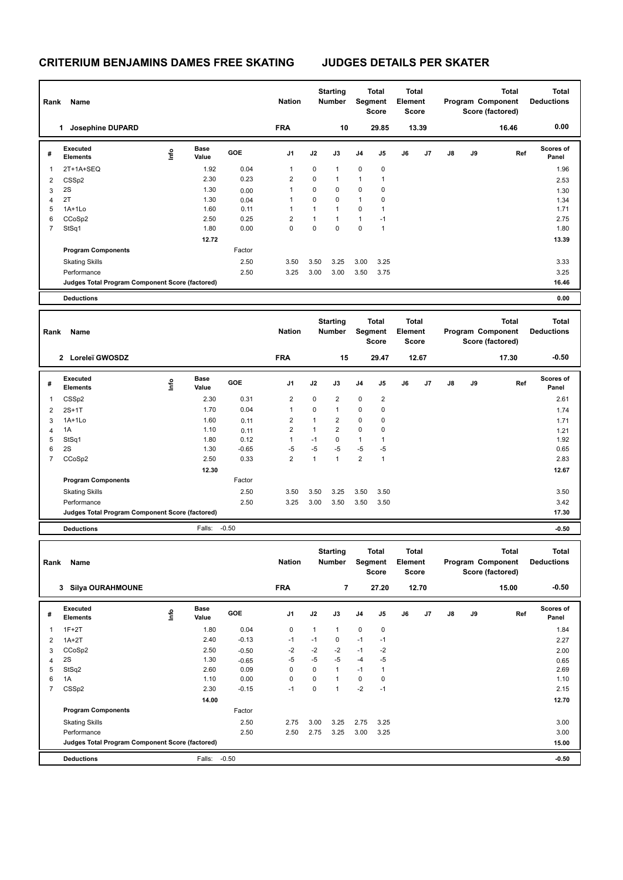| <b>FRA</b><br>10<br>29.85<br>13.39<br>1 Josephine DUPARD<br>16.46<br><b>Executed</b><br>Base<br>Info<br>GOE<br>J1<br>J2<br>J3<br>J4<br>J5<br>J6<br>J7<br>J8<br>J9<br>Ref<br>#<br><b>Elements</b><br>Value<br>Panel<br>0.04<br>0<br>2T+1A+SEQ<br>1.92<br>1<br>$\mathbf{1}$<br>0<br>0<br>1<br>2.30<br>0.23<br>$\overline{2}$<br>0<br>$\mathbf{1}$<br>$\mathbf{1}$<br>1<br>CSS <sub>p2</sub><br>2<br>2S<br>1.30<br>0<br>$\mathbf 0$<br>0<br>0<br>1<br>0.00<br>3<br>2T<br>0<br>$\mathbf 0$<br>$\mathbf{1}$<br>0<br>1.30<br>1<br>4<br>0.04<br>$\mathbf{1}$<br>$\mathbf{1}$<br>$\mathbf{1}$<br>$1A+1Lo$<br>1.60<br>0.11<br>0<br>5<br>1<br>$\overline{2}$<br>$\mathbf{1}$<br>1<br>$\mathbf{1}$<br>$-1$<br>CCoSp2<br>2.50<br>0.25<br>6<br>$\Omega$<br>0<br>$\mathbf 0$<br>0<br>$\overline{7}$<br>StSq1<br>1.80<br>0.00<br>1<br>1.80<br>12.72<br>13.39<br><b>Program Components</b><br>Factor<br>2.50<br>3.50<br>3.25<br>3.00<br>3.25<br><b>Skating Skills</b><br>3.50<br>2.50<br>3.75<br>Performance<br>3.25<br>3.00<br>3.00<br>3.50<br>Judges Total Program Component Score (factored)<br><b>Deductions</b><br><b>Total</b><br><b>Starting</b><br>Total<br>Total<br>Program Component<br><b>Nation</b><br><b>Number</b><br>Segment<br>Element<br>Rank<br>Name<br>Score<br>Score<br>Score (factored)<br>2 Loreleï GWOSDZ<br><b>FRA</b><br>15<br>29.47<br>12.67<br>17.30<br><b>Executed</b><br><b>Scores of</b><br>Base<br>Info<br>GOE<br>J1<br>J2<br>J3<br>J4<br>J5<br>J6<br>J7<br>J8<br>J9<br>Ref<br>#<br><b>Elements</b><br>Value<br>Panel<br>2<br>0<br>$\overline{2}$<br>0<br>$\overline{c}$<br>CSS <sub>p2</sub><br>2.30<br>0.31<br>1<br>1.70<br>0.04<br>$\mathbf{1}$<br>0<br>$\mathbf{1}$<br>0<br>0<br>$2S+1T$<br>2<br>2<br>$\overline{2}$<br>$1A+1Lo$<br>1.60<br>$\mathbf{1}$<br>0<br>0<br>0.11<br>3<br>2<br>$\overline{2}$<br>0<br>1A<br>1.10<br>$\mathbf{1}$<br>0<br>0.11<br>4<br>$\mathbf{1}$<br>$-1$<br>$\pmb{0}$<br>StSq1<br>1.80<br>0.12<br>$\mathbf{1}$<br>1<br>5<br>2S<br>$-5$<br>$-5$<br>$-5$<br>$-5$<br>-5<br>6<br>1.30<br>$-0.65$<br>$\overline{2}$<br>$\mathbf{1}$<br>$\overline{2}$<br>$\mathbf{1}$<br>$\mathbf{1}$<br>7<br>CCoSp2<br>2.50<br>0.33<br>12.30<br>Factor<br><b>Program Components</b><br>2.50<br><b>Skating Skills</b><br>3.50<br>3.50<br>3.25<br>3.50<br>3.50<br>2.50<br>3.25<br>3.00<br>3.50<br>3.50<br>3.50<br>Performance<br>Judges Total Program Component Score (factored)<br>$-0.50$<br><b>Deductions</b><br>Falls:<br><b>Starting</b><br>Total<br>Total<br><b>Total</b><br>Total<br><b>Nation</b><br>Program Component<br>Number<br>Segment<br>Element<br>Rank Name<br>Score (factored)<br>Score<br>Score<br><b>FRA</b><br>7<br>27.20<br>12.70<br>3 Silya OURAHMOUNE<br>15.00<br><b>Executed</b><br>Base<br>lnfo<br>GOE<br>J1<br>J2<br>J3<br>J4<br>J5<br>J6<br>J7<br>J8<br>J9<br>Ref<br>#<br><b>Elements</b><br>Value<br>Panel<br>$1F+2T$<br>1.80<br>0.04<br>0<br>0<br>$\pmb{0}$<br>1<br>$\mathbf{1}$<br>1<br>2.40<br>$-0.13$<br>$-1$<br>$-1$<br>$-1$<br>0<br>$-1$<br>$1A+2T$<br>2<br>2.50<br>$-2$<br>$-2$<br>CCoSp2<br>$-2$<br>-2<br>$-0.50$<br>$-1$<br>3<br>$-5$<br>2S<br>1.30<br>$-5$<br>$-5$<br>-5<br>$-4$<br>$-0.65$<br>4<br>StSq2<br>2.60<br>0.09<br>0<br>0<br>$\mathbf{1}$<br>$-1$<br>$\mathbf{1}$<br>2.69<br>5<br>0.00<br>0<br>0<br>0<br>6<br>1A<br>1.10<br>0<br>$\mathbf{1}$<br>1.10<br>CSS <sub>p2</sub><br>2.30<br>$-0.15$<br>$-1$<br>0<br>$\mathbf{1}$<br>$-2$<br>$-1$<br>2.15<br>7<br>14.00<br>12.70<br><b>Program Components</b><br>Factor<br>2.50<br>3.25<br>3.00<br><b>Skating Skills</b><br>2.75<br>3.00<br>3.25<br>2.75<br>Performance<br>2.50<br>3.00<br>2.50<br>2.75<br>3.25<br>3.00<br>3.25 | Rank | Name |  | <b>Nation</b> | <b>Starting</b><br>Number | <b>Total</b><br>Segment<br>Score | Total<br>Element<br><b>Score</b> |  | <b>Total</b><br>Program Component<br>Score (factored) | <b>Total</b><br><b>Deductions</b> |
|--------------------------------------------------------------------------------------------------------------------------------------------------------------------------------------------------------------------------------------------------------------------------------------------------------------------------------------------------------------------------------------------------------------------------------------------------------------------------------------------------------------------------------------------------------------------------------------------------------------------------------------------------------------------------------------------------------------------------------------------------------------------------------------------------------------------------------------------------------------------------------------------------------------------------------------------------------------------------------------------------------------------------------------------------------------------------------------------------------------------------------------------------------------------------------------------------------------------------------------------------------------------------------------------------------------------------------------------------------------------------------------------------------------------------------------------------------------------------------------------------------------------------------------------------------------------------------------------------------------------------------------------------------------------------------------------------------------------------------------------------------------------------------------------------------------------------------------------------------------------------------------------------------------------------------------------------------------------------------------------------------------------------------------------------------------------------------------------------------------------------------------------------------------------------------------------------------------------------------------------------------------------------------------------------------------------------------------------------------------------------------------------------------------------------------------------------------------------------------------------------------------------------------------------------------------------------------------------------------------------------------------------------------------------------------------------------------------------------------------------------------------------------------------------------------------------------------------------------------------------------------------------------------------------------------------------------------------------------------------------------------------------------------------------------------------------------------------------------------------------------------------------------------------------------------------------------------------------------------------------------------------------------------------------------------------------------------------------------------------------------------------------------------------------------------------------------------------------------------------------------------------------------------------------------------------------------------------------------------------------------------------------------|------|------|--|---------------|---------------------------|----------------------------------|----------------------------------|--|-------------------------------------------------------|-----------------------------------|
|                                                                                                                                                                                                                                                                                                                                                                                                                                                                                                                                                                                                                                                                                                                                                                                                                                                                                                                                                                                                                                                                                                                                                                                                                                                                                                                                                                                                                                                                                                                                                                                                                                                                                                                                                                                                                                                                                                                                                                                                                                                                                                                                                                                                                                                                                                                                                                                                                                                                                                                                                                                                                                                                                                                                                                                                                                                                                                                                                                                                                                                                                                                                                                                                                                                                                                                                                                                                                                                                                                                                                                                                                                                  |      |      |  |               |                           |                                  |                                  |  |                                                       | 0.00                              |
|                                                                                                                                                                                                                                                                                                                                                                                                                                                                                                                                                                                                                                                                                                                                                                                                                                                                                                                                                                                                                                                                                                                                                                                                                                                                                                                                                                                                                                                                                                                                                                                                                                                                                                                                                                                                                                                                                                                                                                                                                                                                                                                                                                                                                                                                                                                                                                                                                                                                                                                                                                                                                                                                                                                                                                                                                                                                                                                                                                                                                                                                                                                                                                                                                                                                                                                                                                                                                                                                                                                                                                                                                                                  |      |      |  |               |                           |                                  |                                  |  |                                                       | <b>Scores of</b>                  |
|                                                                                                                                                                                                                                                                                                                                                                                                                                                                                                                                                                                                                                                                                                                                                                                                                                                                                                                                                                                                                                                                                                                                                                                                                                                                                                                                                                                                                                                                                                                                                                                                                                                                                                                                                                                                                                                                                                                                                                                                                                                                                                                                                                                                                                                                                                                                                                                                                                                                                                                                                                                                                                                                                                                                                                                                                                                                                                                                                                                                                                                                                                                                                                                                                                                                                                                                                                                                                                                                                                                                                                                                                                                  |      |      |  |               |                           |                                  |                                  |  |                                                       | 1.96                              |
|                                                                                                                                                                                                                                                                                                                                                                                                                                                                                                                                                                                                                                                                                                                                                                                                                                                                                                                                                                                                                                                                                                                                                                                                                                                                                                                                                                                                                                                                                                                                                                                                                                                                                                                                                                                                                                                                                                                                                                                                                                                                                                                                                                                                                                                                                                                                                                                                                                                                                                                                                                                                                                                                                                                                                                                                                                                                                                                                                                                                                                                                                                                                                                                                                                                                                                                                                                                                                                                                                                                                                                                                                                                  |      |      |  |               |                           |                                  |                                  |  |                                                       | 2.53                              |
|                                                                                                                                                                                                                                                                                                                                                                                                                                                                                                                                                                                                                                                                                                                                                                                                                                                                                                                                                                                                                                                                                                                                                                                                                                                                                                                                                                                                                                                                                                                                                                                                                                                                                                                                                                                                                                                                                                                                                                                                                                                                                                                                                                                                                                                                                                                                                                                                                                                                                                                                                                                                                                                                                                                                                                                                                                                                                                                                                                                                                                                                                                                                                                                                                                                                                                                                                                                                                                                                                                                                                                                                                                                  |      |      |  |               |                           |                                  |                                  |  |                                                       | 1.30                              |
|                                                                                                                                                                                                                                                                                                                                                                                                                                                                                                                                                                                                                                                                                                                                                                                                                                                                                                                                                                                                                                                                                                                                                                                                                                                                                                                                                                                                                                                                                                                                                                                                                                                                                                                                                                                                                                                                                                                                                                                                                                                                                                                                                                                                                                                                                                                                                                                                                                                                                                                                                                                                                                                                                                                                                                                                                                                                                                                                                                                                                                                                                                                                                                                                                                                                                                                                                                                                                                                                                                                                                                                                                                                  |      |      |  |               |                           |                                  |                                  |  |                                                       | 1.34                              |
|                                                                                                                                                                                                                                                                                                                                                                                                                                                                                                                                                                                                                                                                                                                                                                                                                                                                                                                                                                                                                                                                                                                                                                                                                                                                                                                                                                                                                                                                                                                                                                                                                                                                                                                                                                                                                                                                                                                                                                                                                                                                                                                                                                                                                                                                                                                                                                                                                                                                                                                                                                                                                                                                                                                                                                                                                                                                                                                                                                                                                                                                                                                                                                                                                                                                                                                                                                                                                                                                                                                                                                                                                                                  |      |      |  |               |                           |                                  |                                  |  |                                                       | 1.71                              |
|                                                                                                                                                                                                                                                                                                                                                                                                                                                                                                                                                                                                                                                                                                                                                                                                                                                                                                                                                                                                                                                                                                                                                                                                                                                                                                                                                                                                                                                                                                                                                                                                                                                                                                                                                                                                                                                                                                                                                                                                                                                                                                                                                                                                                                                                                                                                                                                                                                                                                                                                                                                                                                                                                                                                                                                                                                                                                                                                                                                                                                                                                                                                                                                                                                                                                                                                                                                                                                                                                                                                                                                                                                                  |      |      |  |               |                           |                                  |                                  |  |                                                       | 2.75                              |
|                                                                                                                                                                                                                                                                                                                                                                                                                                                                                                                                                                                                                                                                                                                                                                                                                                                                                                                                                                                                                                                                                                                                                                                                                                                                                                                                                                                                                                                                                                                                                                                                                                                                                                                                                                                                                                                                                                                                                                                                                                                                                                                                                                                                                                                                                                                                                                                                                                                                                                                                                                                                                                                                                                                                                                                                                                                                                                                                                                                                                                                                                                                                                                                                                                                                                                                                                                                                                                                                                                                                                                                                                                                  |      |      |  |               |                           |                                  |                                  |  |                                                       |                                   |
|                                                                                                                                                                                                                                                                                                                                                                                                                                                                                                                                                                                                                                                                                                                                                                                                                                                                                                                                                                                                                                                                                                                                                                                                                                                                                                                                                                                                                                                                                                                                                                                                                                                                                                                                                                                                                                                                                                                                                                                                                                                                                                                                                                                                                                                                                                                                                                                                                                                                                                                                                                                                                                                                                                                                                                                                                                                                                                                                                                                                                                                                                                                                                                                                                                                                                                                                                                                                                                                                                                                                                                                                                                                  |      |      |  |               |                           |                                  |                                  |  |                                                       |                                   |
|                                                                                                                                                                                                                                                                                                                                                                                                                                                                                                                                                                                                                                                                                                                                                                                                                                                                                                                                                                                                                                                                                                                                                                                                                                                                                                                                                                                                                                                                                                                                                                                                                                                                                                                                                                                                                                                                                                                                                                                                                                                                                                                                                                                                                                                                                                                                                                                                                                                                                                                                                                                                                                                                                                                                                                                                                                                                                                                                                                                                                                                                                                                                                                                                                                                                                                                                                                                                                                                                                                                                                                                                                                                  |      |      |  |               |                           |                                  |                                  |  |                                                       |                                   |
|                                                                                                                                                                                                                                                                                                                                                                                                                                                                                                                                                                                                                                                                                                                                                                                                                                                                                                                                                                                                                                                                                                                                                                                                                                                                                                                                                                                                                                                                                                                                                                                                                                                                                                                                                                                                                                                                                                                                                                                                                                                                                                                                                                                                                                                                                                                                                                                                                                                                                                                                                                                                                                                                                                                                                                                                                                                                                                                                                                                                                                                                                                                                                                                                                                                                                                                                                                                                                                                                                                                                                                                                                                                  |      |      |  |               |                           |                                  |                                  |  |                                                       | 3.33                              |
|                                                                                                                                                                                                                                                                                                                                                                                                                                                                                                                                                                                                                                                                                                                                                                                                                                                                                                                                                                                                                                                                                                                                                                                                                                                                                                                                                                                                                                                                                                                                                                                                                                                                                                                                                                                                                                                                                                                                                                                                                                                                                                                                                                                                                                                                                                                                                                                                                                                                                                                                                                                                                                                                                                                                                                                                                                                                                                                                                                                                                                                                                                                                                                                                                                                                                                                                                                                                                                                                                                                                                                                                                                                  |      |      |  |               |                           |                                  |                                  |  |                                                       | 3.25                              |
|                                                                                                                                                                                                                                                                                                                                                                                                                                                                                                                                                                                                                                                                                                                                                                                                                                                                                                                                                                                                                                                                                                                                                                                                                                                                                                                                                                                                                                                                                                                                                                                                                                                                                                                                                                                                                                                                                                                                                                                                                                                                                                                                                                                                                                                                                                                                                                                                                                                                                                                                                                                                                                                                                                                                                                                                                                                                                                                                                                                                                                                                                                                                                                                                                                                                                                                                                                                                                                                                                                                                                                                                                                                  |      |      |  |               |                           |                                  |                                  |  |                                                       | 16.46                             |
|                                                                                                                                                                                                                                                                                                                                                                                                                                                                                                                                                                                                                                                                                                                                                                                                                                                                                                                                                                                                                                                                                                                                                                                                                                                                                                                                                                                                                                                                                                                                                                                                                                                                                                                                                                                                                                                                                                                                                                                                                                                                                                                                                                                                                                                                                                                                                                                                                                                                                                                                                                                                                                                                                                                                                                                                                                                                                                                                                                                                                                                                                                                                                                                                                                                                                                                                                                                                                                                                                                                                                                                                                                                  |      |      |  |               |                           |                                  |                                  |  |                                                       | 0.00                              |
|                                                                                                                                                                                                                                                                                                                                                                                                                                                                                                                                                                                                                                                                                                                                                                                                                                                                                                                                                                                                                                                                                                                                                                                                                                                                                                                                                                                                                                                                                                                                                                                                                                                                                                                                                                                                                                                                                                                                                                                                                                                                                                                                                                                                                                                                                                                                                                                                                                                                                                                                                                                                                                                                                                                                                                                                                                                                                                                                                                                                                                                                                                                                                                                                                                                                                                                                                                                                                                                                                                                                                                                                                                                  |      |      |  |               |                           |                                  |                                  |  |                                                       | <b>Total</b><br><b>Deductions</b> |
|                                                                                                                                                                                                                                                                                                                                                                                                                                                                                                                                                                                                                                                                                                                                                                                                                                                                                                                                                                                                                                                                                                                                                                                                                                                                                                                                                                                                                                                                                                                                                                                                                                                                                                                                                                                                                                                                                                                                                                                                                                                                                                                                                                                                                                                                                                                                                                                                                                                                                                                                                                                                                                                                                                                                                                                                                                                                                                                                                                                                                                                                                                                                                                                                                                                                                                                                                                                                                                                                                                                                                                                                                                                  |      |      |  |               |                           |                                  |                                  |  |                                                       | $-0.50$                           |
|                                                                                                                                                                                                                                                                                                                                                                                                                                                                                                                                                                                                                                                                                                                                                                                                                                                                                                                                                                                                                                                                                                                                                                                                                                                                                                                                                                                                                                                                                                                                                                                                                                                                                                                                                                                                                                                                                                                                                                                                                                                                                                                                                                                                                                                                                                                                                                                                                                                                                                                                                                                                                                                                                                                                                                                                                                                                                                                                                                                                                                                                                                                                                                                                                                                                                                                                                                                                                                                                                                                                                                                                                                                  |      |      |  |               |                           |                                  |                                  |  |                                                       |                                   |
|                                                                                                                                                                                                                                                                                                                                                                                                                                                                                                                                                                                                                                                                                                                                                                                                                                                                                                                                                                                                                                                                                                                                                                                                                                                                                                                                                                                                                                                                                                                                                                                                                                                                                                                                                                                                                                                                                                                                                                                                                                                                                                                                                                                                                                                                                                                                                                                                                                                                                                                                                                                                                                                                                                                                                                                                                                                                                                                                                                                                                                                                                                                                                                                                                                                                                                                                                                                                                                                                                                                                                                                                                                                  |      |      |  |               |                           |                                  |                                  |  |                                                       |                                   |
|                                                                                                                                                                                                                                                                                                                                                                                                                                                                                                                                                                                                                                                                                                                                                                                                                                                                                                                                                                                                                                                                                                                                                                                                                                                                                                                                                                                                                                                                                                                                                                                                                                                                                                                                                                                                                                                                                                                                                                                                                                                                                                                                                                                                                                                                                                                                                                                                                                                                                                                                                                                                                                                                                                                                                                                                                                                                                                                                                                                                                                                                                                                                                                                                                                                                                                                                                                                                                                                                                                                                                                                                                                                  |      |      |  |               |                           |                                  |                                  |  |                                                       | 2.61                              |
|                                                                                                                                                                                                                                                                                                                                                                                                                                                                                                                                                                                                                                                                                                                                                                                                                                                                                                                                                                                                                                                                                                                                                                                                                                                                                                                                                                                                                                                                                                                                                                                                                                                                                                                                                                                                                                                                                                                                                                                                                                                                                                                                                                                                                                                                                                                                                                                                                                                                                                                                                                                                                                                                                                                                                                                                                                                                                                                                                                                                                                                                                                                                                                                                                                                                                                                                                                                                                                                                                                                                                                                                                                                  |      |      |  |               |                           |                                  |                                  |  |                                                       | 1.74                              |
|                                                                                                                                                                                                                                                                                                                                                                                                                                                                                                                                                                                                                                                                                                                                                                                                                                                                                                                                                                                                                                                                                                                                                                                                                                                                                                                                                                                                                                                                                                                                                                                                                                                                                                                                                                                                                                                                                                                                                                                                                                                                                                                                                                                                                                                                                                                                                                                                                                                                                                                                                                                                                                                                                                                                                                                                                                                                                                                                                                                                                                                                                                                                                                                                                                                                                                                                                                                                                                                                                                                                                                                                                                                  |      |      |  |               |                           |                                  |                                  |  |                                                       | 1.71                              |
|                                                                                                                                                                                                                                                                                                                                                                                                                                                                                                                                                                                                                                                                                                                                                                                                                                                                                                                                                                                                                                                                                                                                                                                                                                                                                                                                                                                                                                                                                                                                                                                                                                                                                                                                                                                                                                                                                                                                                                                                                                                                                                                                                                                                                                                                                                                                                                                                                                                                                                                                                                                                                                                                                                                                                                                                                                                                                                                                                                                                                                                                                                                                                                                                                                                                                                                                                                                                                                                                                                                                                                                                                                                  |      |      |  |               |                           |                                  |                                  |  |                                                       | 1.21                              |
|                                                                                                                                                                                                                                                                                                                                                                                                                                                                                                                                                                                                                                                                                                                                                                                                                                                                                                                                                                                                                                                                                                                                                                                                                                                                                                                                                                                                                                                                                                                                                                                                                                                                                                                                                                                                                                                                                                                                                                                                                                                                                                                                                                                                                                                                                                                                                                                                                                                                                                                                                                                                                                                                                                                                                                                                                                                                                                                                                                                                                                                                                                                                                                                                                                                                                                                                                                                                                                                                                                                                                                                                                                                  |      |      |  |               |                           |                                  |                                  |  |                                                       | 1.92                              |
|                                                                                                                                                                                                                                                                                                                                                                                                                                                                                                                                                                                                                                                                                                                                                                                                                                                                                                                                                                                                                                                                                                                                                                                                                                                                                                                                                                                                                                                                                                                                                                                                                                                                                                                                                                                                                                                                                                                                                                                                                                                                                                                                                                                                                                                                                                                                                                                                                                                                                                                                                                                                                                                                                                                                                                                                                                                                                                                                                                                                                                                                                                                                                                                                                                                                                                                                                                                                                                                                                                                                                                                                                                                  |      |      |  |               |                           |                                  |                                  |  |                                                       | 0.65                              |
|                                                                                                                                                                                                                                                                                                                                                                                                                                                                                                                                                                                                                                                                                                                                                                                                                                                                                                                                                                                                                                                                                                                                                                                                                                                                                                                                                                                                                                                                                                                                                                                                                                                                                                                                                                                                                                                                                                                                                                                                                                                                                                                                                                                                                                                                                                                                                                                                                                                                                                                                                                                                                                                                                                                                                                                                                                                                                                                                                                                                                                                                                                                                                                                                                                                                                                                                                                                                                                                                                                                                                                                                                                                  |      |      |  |               |                           |                                  |                                  |  |                                                       | 2.83                              |
|                                                                                                                                                                                                                                                                                                                                                                                                                                                                                                                                                                                                                                                                                                                                                                                                                                                                                                                                                                                                                                                                                                                                                                                                                                                                                                                                                                                                                                                                                                                                                                                                                                                                                                                                                                                                                                                                                                                                                                                                                                                                                                                                                                                                                                                                                                                                                                                                                                                                                                                                                                                                                                                                                                                                                                                                                                                                                                                                                                                                                                                                                                                                                                                                                                                                                                                                                                                                                                                                                                                                                                                                                                                  |      |      |  |               |                           |                                  |                                  |  |                                                       | 12.67                             |
|                                                                                                                                                                                                                                                                                                                                                                                                                                                                                                                                                                                                                                                                                                                                                                                                                                                                                                                                                                                                                                                                                                                                                                                                                                                                                                                                                                                                                                                                                                                                                                                                                                                                                                                                                                                                                                                                                                                                                                                                                                                                                                                                                                                                                                                                                                                                                                                                                                                                                                                                                                                                                                                                                                                                                                                                                                                                                                                                                                                                                                                                                                                                                                                                                                                                                                                                                                                                                                                                                                                                                                                                                                                  |      |      |  |               |                           |                                  |                                  |  |                                                       |                                   |
|                                                                                                                                                                                                                                                                                                                                                                                                                                                                                                                                                                                                                                                                                                                                                                                                                                                                                                                                                                                                                                                                                                                                                                                                                                                                                                                                                                                                                                                                                                                                                                                                                                                                                                                                                                                                                                                                                                                                                                                                                                                                                                                                                                                                                                                                                                                                                                                                                                                                                                                                                                                                                                                                                                                                                                                                                                                                                                                                                                                                                                                                                                                                                                                                                                                                                                                                                                                                                                                                                                                                                                                                                                                  |      |      |  |               |                           |                                  |                                  |  |                                                       | 3.50                              |
|                                                                                                                                                                                                                                                                                                                                                                                                                                                                                                                                                                                                                                                                                                                                                                                                                                                                                                                                                                                                                                                                                                                                                                                                                                                                                                                                                                                                                                                                                                                                                                                                                                                                                                                                                                                                                                                                                                                                                                                                                                                                                                                                                                                                                                                                                                                                                                                                                                                                                                                                                                                                                                                                                                                                                                                                                                                                                                                                                                                                                                                                                                                                                                                                                                                                                                                                                                                                                                                                                                                                                                                                                                                  |      |      |  |               |                           |                                  |                                  |  |                                                       | 3.42                              |
|                                                                                                                                                                                                                                                                                                                                                                                                                                                                                                                                                                                                                                                                                                                                                                                                                                                                                                                                                                                                                                                                                                                                                                                                                                                                                                                                                                                                                                                                                                                                                                                                                                                                                                                                                                                                                                                                                                                                                                                                                                                                                                                                                                                                                                                                                                                                                                                                                                                                                                                                                                                                                                                                                                                                                                                                                                                                                                                                                                                                                                                                                                                                                                                                                                                                                                                                                                                                                                                                                                                                                                                                                                                  |      |      |  |               |                           |                                  |                                  |  |                                                       | 17.30                             |
|                                                                                                                                                                                                                                                                                                                                                                                                                                                                                                                                                                                                                                                                                                                                                                                                                                                                                                                                                                                                                                                                                                                                                                                                                                                                                                                                                                                                                                                                                                                                                                                                                                                                                                                                                                                                                                                                                                                                                                                                                                                                                                                                                                                                                                                                                                                                                                                                                                                                                                                                                                                                                                                                                                                                                                                                                                                                                                                                                                                                                                                                                                                                                                                                                                                                                                                                                                                                                                                                                                                                                                                                                                                  |      |      |  |               |                           |                                  |                                  |  |                                                       | $-0.50$                           |
|                                                                                                                                                                                                                                                                                                                                                                                                                                                                                                                                                                                                                                                                                                                                                                                                                                                                                                                                                                                                                                                                                                                                                                                                                                                                                                                                                                                                                                                                                                                                                                                                                                                                                                                                                                                                                                                                                                                                                                                                                                                                                                                                                                                                                                                                                                                                                                                                                                                                                                                                                                                                                                                                                                                                                                                                                                                                                                                                                                                                                                                                                                                                                                                                                                                                                                                                                                                                                                                                                                                                                                                                                                                  |      |      |  |               |                           |                                  |                                  |  |                                                       |                                   |
|                                                                                                                                                                                                                                                                                                                                                                                                                                                                                                                                                                                                                                                                                                                                                                                                                                                                                                                                                                                                                                                                                                                                                                                                                                                                                                                                                                                                                                                                                                                                                                                                                                                                                                                                                                                                                                                                                                                                                                                                                                                                                                                                                                                                                                                                                                                                                                                                                                                                                                                                                                                                                                                                                                                                                                                                                                                                                                                                                                                                                                                                                                                                                                                                                                                                                                                                                                                                                                                                                                                                                                                                                                                  |      |      |  |               |                           |                                  |                                  |  |                                                       | <b>Deductions</b>                 |
|                                                                                                                                                                                                                                                                                                                                                                                                                                                                                                                                                                                                                                                                                                                                                                                                                                                                                                                                                                                                                                                                                                                                                                                                                                                                                                                                                                                                                                                                                                                                                                                                                                                                                                                                                                                                                                                                                                                                                                                                                                                                                                                                                                                                                                                                                                                                                                                                                                                                                                                                                                                                                                                                                                                                                                                                                                                                                                                                                                                                                                                                                                                                                                                                                                                                                                                                                                                                                                                                                                                                                                                                                                                  |      |      |  |               |                           |                                  |                                  |  |                                                       | $-0.50$                           |
|                                                                                                                                                                                                                                                                                                                                                                                                                                                                                                                                                                                                                                                                                                                                                                                                                                                                                                                                                                                                                                                                                                                                                                                                                                                                                                                                                                                                                                                                                                                                                                                                                                                                                                                                                                                                                                                                                                                                                                                                                                                                                                                                                                                                                                                                                                                                                                                                                                                                                                                                                                                                                                                                                                                                                                                                                                                                                                                                                                                                                                                                                                                                                                                                                                                                                                                                                                                                                                                                                                                                                                                                                                                  |      |      |  |               |                           |                                  |                                  |  |                                                       | Scores of                         |
|                                                                                                                                                                                                                                                                                                                                                                                                                                                                                                                                                                                                                                                                                                                                                                                                                                                                                                                                                                                                                                                                                                                                                                                                                                                                                                                                                                                                                                                                                                                                                                                                                                                                                                                                                                                                                                                                                                                                                                                                                                                                                                                                                                                                                                                                                                                                                                                                                                                                                                                                                                                                                                                                                                                                                                                                                                                                                                                                                                                                                                                                                                                                                                                                                                                                                                                                                                                                                                                                                                                                                                                                                                                  |      |      |  |               |                           |                                  |                                  |  |                                                       |                                   |
|                                                                                                                                                                                                                                                                                                                                                                                                                                                                                                                                                                                                                                                                                                                                                                                                                                                                                                                                                                                                                                                                                                                                                                                                                                                                                                                                                                                                                                                                                                                                                                                                                                                                                                                                                                                                                                                                                                                                                                                                                                                                                                                                                                                                                                                                                                                                                                                                                                                                                                                                                                                                                                                                                                                                                                                                                                                                                                                                                                                                                                                                                                                                                                                                                                                                                                                                                                                                                                                                                                                                                                                                                                                  |      |      |  |               |                           |                                  |                                  |  |                                                       | 1.84                              |
|                                                                                                                                                                                                                                                                                                                                                                                                                                                                                                                                                                                                                                                                                                                                                                                                                                                                                                                                                                                                                                                                                                                                                                                                                                                                                                                                                                                                                                                                                                                                                                                                                                                                                                                                                                                                                                                                                                                                                                                                                                                                                                                                                                                                                                                                                                                                                                                                                                                                                                                                                                                                                                                                                                                                                                                                                                                                                                                                                                                                                                                                                                                                                                                                                                                                                                                                                                                                                                                                                                                                                                                                                                                  |      |      |  |               |                           |                                  |                                  |  |                                                       | 2.27                              |
|                                                                                                                                                                                                                                                                                                                                                                                                                                                                                                                                                                                                                                                                                                                                                                                                                                                                                                                                                                                                                                                                                                                                                                                                                                                                                                                                                                                                                                                                                                                                                                                                                                                                                                                                                                                                                                                                                                                                                                                                                                                                                                                                                                                                                                                                                                                                                                                                                                                                                                                                                                                                                                                                                                                                                                                                                                                                                                                                                                                                                                                                                                                                                                                                                                                                                                                                                                                                                                                                                                                                                                                                                                                  |      |      |  |               |                           |                                  |                                  |  |                                                       | 2.00                              |
|                                                                                                                                                                                                                                                                                                                                                                                                                                                                                                                                                                                                                                                                                                                                                                                                                                                                                                                                                                                                                                                                                                                                                                                                                                                                                                                                                                                                                                                                                                                                                                                                                                                                                                                                                                                                                                                                                                                                                                                                                                                                                                                                                                                                                                                                                                                                                                                                                                                                                                                                                                                                                                                                                                                                                                                                                                                                                                                                                                                                                                                                                                                                                                                                                                                                                                                                                                                                                                                                                                                                                                                                                                                  |      |      |  |               |                           |                                  |                                  |  |                                                       | 0.65                              |
|                                                                                                                                                                                                                                                                                                                                                                                                                                                                                                                                                                                                                                                                                                                                                                                                                                                                                                                                                                                                                                                                                                                                                                                                                                                                                                                                                                                                                                                                                                                                                                                                                                                                                                                                                                                                                                                                                                                                                                                                                                                                                                                                                                                                                                                                                                                                                                                                                                                                                                                                                                                                                                                                                                                                                                                                                                                                                                                                                                                                                                                                                                                                                                                                                                                                                                                                                                                                                                                                                                                                                                                                                                                  |      |      |  |               |                           |                                  |                                  |  |                                                       |                                   |
|                                                                                                                                                                                                                                                                                                                                                                                                                                                                                                                                                                                                                                                                                                                                                                                                                                                                                                                                                                                                                                                                                                                                                                                                                                                                                                                                                                                                                                                                                                                                                                                                                                                                                                                                                                                                                                                                                                                                                                                                                                                                                                                                                                                                                                                                                                                                                                                                                                                                                                                                                                                                                                                                                                                                                                                                                                                                                                                                                                                                                                                                                                                                                                                                                                                                                                                                                                                                                                                                                                                                                                                                                                                  |      |      |  |               |                           |                                  |                                  |  |                                                       |                                   |
|                                                                                                                                                                                                                                                                                                                                                                                                                                                                                                                                                                                                                                                                                                                                                                                                                                                                                                                                                                                                                                                                                                                                                                                                                                                                                                                                                                                                                                                                                                                                                                                                                                                                                                                                                                                                                                                                                                                                                                                                                                                                                                                                                                                                                                                                                                                                                                                                                                                                                                                                                                                                                                                                                                                                                                                                                                                                                                                                                                                                                                                                                                                                                                                                                                                                                                                                                                                                                                                                                                                                                                                                                                                  |      |      |  |               |                           |                                  |                                  |  |                                                       |                                   |
|                                                                                                                                                                                                                                                                                                                                                                                                                                                                                                                                                                                                                                                                                                                                                                                                                                                                                                                                                                                                                                                                                                                                                                                                                                                                                                                                                                                                                                                                                                                                                                                                                                                                                                                                                                                                                                                                                                                                                                                                                                                                                                                                                                                                                                                                                                                                                                                                                                                                                                                                                                                                                                                                                                                                                                                                                                                                                                                                                                                                                                                                                                                                                                                                                                                                                                                                                                                                                                                                                                                                                                                                                                                  |      |      |  |               |                           |                                  |                                  |  |                                                       |                                   |
|                                                                                                                                                                                                                                                                                                                                                                                                                                                                                                                                                                                                                                                                                                                                                                                                                                                                                                                                                                                                                                                                                                                                                                                                                                                                                                                                                                                                                                                                                                                                                                                                                                                                                                                                                                                                                                                                                                                                                                                                                                                                                                                                                                                                                                                                                                                                                                                                                                                                                                                                                                                                                                                                                                                                                                                                                                                                                                                                                                                                                                                                                                                                                                                                                                                                                                                                                                                                                                                                                                                                                                                                                                                  |      |      |  |               |                           |                                  |                                  |  |                                                       |                                   |
|                                                                                                                                                                                                                                                                                                                                                                                                                                                                                                                                                                                                                                                                                                                                                                                                                                                                                                                                                                                                                                                                                                                                                                                                                                                                                                                                                                                                                                                                                                                                                                                                                                                                                                                                                                                                                                                                                                                                                                                                                                                                                                                                                                                                                                                                                                                                                                                                                                                                                                                                                                                                                                                                                                                                                                                                                                                                                                                                                                                                                                                                                                                                                                                                                                                                                                                                                                                                                                                                                                                                                                                                                                                  |      |      |  |               |                           |                                  |                                  |  |                                                       |                                   |
| Judges Total Program Component Score (factored)                                                                                                                                                                                                                                                                                                                                                                                                                                                                                                                                                                                                                                                                                                                                                                                                                                                                                                                                                                                                                                                                                                                                                                                                                                                                                                                                                                                                                                                                                                                                                                                                                                                                                                                                                                                                                                                                                                                                                                                                                                                                                                                                                                                                                                                                                                                                                                                                                                                                                                                                                                                                                                                                                                                                                                                                                                                                                                                                                                                                                                                                                                                                                                                                                                                                                                                                                                                                                                                                                                                                                                                                  |      |      |  |               |                           |                                  |                                  |  |                                                       | 15.00                             |

**Deductions** Falls: -0.50 **-0.50**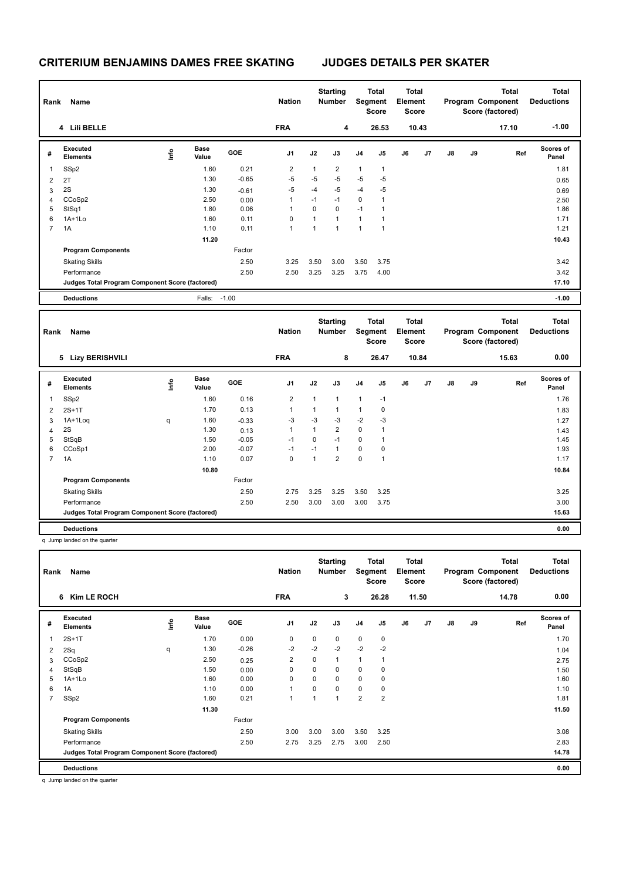| Rank           | Name                                            |      |                      |         | <b>Nation</b>           |              | <b>Starting</b><br><b>Number</b> | Segment      | <b>Total</b><br><b>Score</b> | <b>Total</b><br>Element<br><b>Score</b> |       |    |    | <b>Total</b><br>Program Component<br>Score (factored) | <b>Total</b><br><b>Deductions</b> |
|----------------|-------------------------------------------------|------|----------------------|---------|-------------------------|--------------|----------------------------------|--------------|------------------------------|-----------------------------------------|-------|----|----|-------------------------------------------------------|-----------------------------------|
|                | 4 Lili BELLE                                    |      |                      |         | <b>FRA</b>              |              | 4                                |              | 26.53                        |                                         | 10.43 |    |    | 17.10                                                 | $-1.00$                           |
| #              | <b>Executed</b><br><b>Elements</b>              | lnfo | <b>Base</b><br>Value | GOE     | J <sub>1</sub>          | J2           | J3                               | J4           | J5                           | J6                                      | J7    | J8 | J9 | Ref                                                   | Scores of<br>Panel                |
| 1              | SSp2                                            |      | 1.60                 | 0.21    | $\overline{\mathbf{c}}$ | 1            | 2                                | $\mathbf{1}$ | $\mathbf{1}$                 |                                         |       |    |    |                                                       | 1.81                              |
| $\overline{2}$ | 2T                                              |      | 1.30                 | $-0.65$ | $-5$                    | $-5$         | $-5$                             | $-5$         | $-5$                         |                                         |       |    |    |                                                       | 0.65                              |
| 3              | 2S                                              |      | 1.30                 | $-0.61$ | $-5$                    | $-4$         | $-5$                             | $-4$         | $-5$                         |                                         |       |    |    |                                                       | 0.69                              |
| 4              | CCoSp2                                          |      | 2.50                 | 0.00    | $\mathbf{1}$            | $-1$         | $-1$                             | $\mathbf 0$  | $\mathbf{1}$                 |                                         |       |    |    |                                                       | 2.50                              |
| 5              | StSq1                                           |      | 1.80                 | 0.06    | $\mathbf{1}$            | $\mathbf 0$  | $\mathbf 0$                      | $-1$         | $\mathbf{1}$                 |                                         |       |    |    |                                                       | 1.86                              |
| 6              | 1A+1Lo                                          |      | 1.60                 | 0.11    | $\mathbf 0$             | $\mathbf{1}$ | $\mathbf{1}$                     | $\mathbf{1}$ | $\mathbf{1}$                 |                                         |       |    |    |                                                       | 1.71                              |
| $\overline{7}$ | 1A                                              |      | 1.10                 | 0.11    | $\mathbf{1}$            | $\mathbf{1}$ | $\mathbf{1}$                     | $\mathbf{1}$ | $\mathbf{1}$                 |                                         |       |    |    |                                                       | 1.21                              |
|                |                                                 |      | 11.20                |         |                         |              |                                  |              |                              |                                         |       |    |    |                                                       | 10.43                             |
|                | <b>Program Components</b>                       |      |                      | Factor  |                         |              |                                  |              |                              |                                         |       |    |    |                                                       |                                   |
|                | <b>Skating Skills</b>                           |      |                      | 2.50    | 3.25                    | 3.50         | 3.00                             | 3.50         | 3.75                         |                                         |       |    |    |                                                       | 3.42                              |
|                | Performance                                     |      |                      | 2.50    | 2.50                    | 3.25         | 3.25                             | 3.75         | 4.00                         |                                         |       |    |    |                                                       | 3.42                              |
|                | Judges Total Program Component Score (factored) |      |                      |         |                         |              |                                  |              |                              |                                         |       |    |    |                                                       | 17.10                             |
|                |                                                 |      |                      |         |                         |              |                                  |              |                              |                                         |       |    |    |                                                       |                                   |
|                |                                                 |      |                      |         |                         |              |                                  |              |                              |                                         |       |    |    |                                                       |                                   |
|                | <b>Deductions</b>                               |      | Falls: -1.00         |         |                         |              |                                  |              |                              |                                         |       |    |    |                                                       | $-1.00$                           |
| Rank           | Name                                            |      |                      |         | <b>Nation</b>           |              | <b>Starting</b><br><b>Number</b> | Segment      | <b>Total</b><br><b>Score</b> | <b>Total</b><br>Element<br>Score        |       |    |    | <b>Total</b><br>Program Component<br>Score (factored) | <b>Total</b><br><b>Deductions</b> |
|                | 5 Lizy BERISHVILI                               |      |                      |         | <b>FRA</b>              |              | 8                                |              | 26.47                        |                                         | 10.84 |    |    | 15.63                                                 | 0.00                              |
| #              | <b>Executed</b><br><b>Elements</b>              | Info | <b>Base</b><br>Value | GOE     | J1                      | J2           | J3                               | J4           | J5                           | J6                                      | J7    | J8 | J9 | Ref                                                   | Scores of<br>Panel                |
| 1              | SSp2                                            |      | 1.60                 | 0.16    | 2                       | $\mathbf{1}$ | $\mathbf{1}$                     | $\mathbf{1}$ | $-1$                         |                                         |       |    |    |                                                       | 1.76                              |
| 2              | $2S+1T$                                         |      | 1.70                 | 0.13    | $\mathbf{1}$            | $\mathbf{1}$ | $\mathbf{1}$                     | $\mathbf{1}$ | 0                            |                                         |       |    |    |                                                       |                                   |
| 3              | 1A+1Loq                                         |      | 1.60                 | $-0.33$ | $-3$                    | $-3$         | -3                               | $-2$         | $-3$                         |                                         |       |    |    |                                                       | 1.83<br>1.27                      |
| $\overline{4}$ | 2S                                              | q    | 1.30                 | 0.13    | $\mathbf{1}$            | $\mathbf{1}$ | $\overline{2}$                   | $\mathbf 0$  | $\mathbf{1}$                 |                                         |       |    |    |                                                       | 1.43                              |
| 5              | StSqB                                           |      | 1.50                 | $-0.05$ | $-1$                    | 0            | $-1$                             | 0            | $\mathbf{1}$                 |                                         |       |    |    |                                                       | 1.45                              |
| 6              | CCoSp1                                          |      | 2.00                 | $-0.07$ | $-1$                    | $-1$         | $\mathbf{1}$                     | $\mathbf 0$  | 0                            |                                         |       |    |    |                                                       | 1.93                              |
| $\overline{7}$ | 1A                                              |      | 1.10                 | 0.07    | $\mathbf 0$             | $\mathbf{1}$ | $\overline{2}$                   | $\mathbf 0$  | $\mathbf{1}$                 |                                         |       |    |    |                                                       | 1.17                              |
|                |                                                 |      | 10.80                |         |                         |              |                                  |              |                              |                                         |       |    |    |                                                       | 10.84                             |
|                | <b>Program Components</b>                       |      |                      | Factor  |                         |              |                                  |              |                              |                                         |       |    |    |                                                       |                                   |
|                | <b>Skating Skills</b>                           |      |                      | 2.50    | 2.75                    | 3.25         | 3.25                             | 3.50         | 3.25                         |                                         |       |    |    |                                                       | 3.25                              |

**Judges Total Program Component Score (factored) 15.63**

**Deductions 0.00**

q Jump landed on the quarter

| Rank           | Name                                            |      |               |         | <b>Nation</b>  |             | <b>Starting</b><br><b>Number</b> | Segment        | Total<br><b>Score</b> | Total<br>Element<br><b>Score</b> |       |               |    | <b>Total</b><br>Program Component<br>Score (factored) | <b>Total</b><br><b>Deductions</b> |
|----------------|-------------------------------------------------|------|---------------|---------|----------------|-------------|----------------------------------|----------------|-----------------------|----------------------------------|-------|---------------|----|-------------------------------------------------------|-----------------------------------|
|                | Kim LE ROCH<br>6                                |      |               |         | <b>FRA</b>     |             | 3                                |                | 26.28                 |                                  | 11.50 |               |    | 14.78                                                 | 0.00                              |
| #              | Executed<br><b>Elements</b>                     | lnfo | Base<br>Value | GOE     | J <sub>1</sub> | J2          | J3                               | J <sub>4</sub> | J5                    | J6                               | J7    | $\mathsf{J}8$ | J9 | Ref                                                   | <b>Scores of</b><br>Panel         |
| -1             | $2S+1T$                                         |      | 1.70          | 0.00    | $\mathbf 0$    | $\mathbf 0$ | 0                                | $\mathbf 0$    | $\mathbf 0$           |                                  |       |               |    |                                                       | 1.70                              |
| 2              | 2Sq                                             | q    | 1.30          | $-0.26$ | $-2$           | $-2$        | $-2$                             | $-2$           | $-2$                  |                                  |       |               |    |                                                       | 1.04                              |
| 3              | CCoSp2                                          |      | 2.50          | 0.25    | $\overline{2}$ | $\mathbf 0$ | 1                                | $\mathbf{1}$   | 1                     |                                  |       |               |    |                                                       | 2.75                              |
| $\overline{4}$ | StSqB                                           |      | 1.50          | 0.00    | 0              | $\Omega$    | 0                                | 0              | 0                     |                                  |       |               |    |                                                       | 1.50                              |
| 5              | $1A+1Lo$                                        |      | 1.60          | 0.00    | $\mathbf 0$    | 0           | 0                                | $\mathbf 0$    | 0                     |                                  |       |               |    |                                                       | 1.60                              |
| 6              | 1A                                              |      | 1.10          | 0.00    | 1              | 0           | 0                                | 0              | 0                     |                                  |       |               |    |                                                       | 1.10                              |
| $\overline{7}$ | SSp2                                            |      | 1.60          | 0.21    | $\overline{1}$ | 1           | $\overline{1}$                   | $\overline{2}$ | $\overline{2}$        |                                  |       |               |    |                                                       | 1.81                              |
|                |                                                 |      | 11.30         |         |                |             |                                  |                |                       |                                  |       |               |    |                                                       | 11.50                             |
|                | <b>Program Components</b>                       |      |               | Factor  |                |             |                                  |                |                       |                                  |       |               |    |                                                       |                                   |
|                | <b>Skating Skills</b>                           |      |               | 2.50    | 3.00           | 3.00        | 3.00                             | 3.50           | 3.25                  |                                  |       |               |    |                                                       | 3.08                              |
|                | Performance                                     |      |               | 2.50    | 2.75           | 3.25        | 2.75                             | 3.00           | 2.50                  |                                  |       |               |    |                                                       | 2.83                              |
|                | Judges Total Program Component Score (factored) |      |               |         |                |             |                                  |                |                       |                                  |       |               |    |                                                       | 14.78                             |
|                | <b>Deductions</b>                               |      |               |         |                |             |                                  |                |                       |                                  |       |               |    |                                                       | 0.00                              |

q Jump landed on the quarter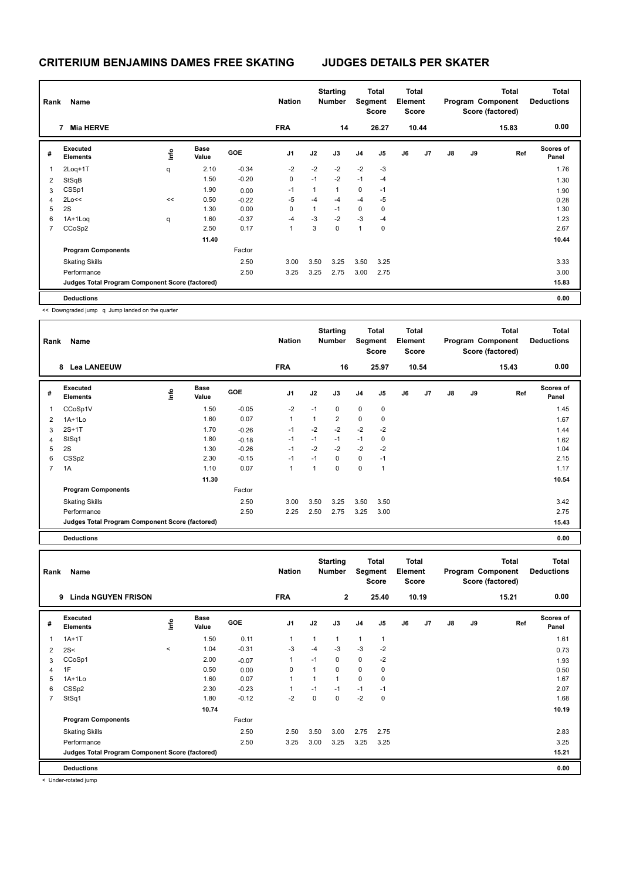| Rank           | Name                                            |    |                      |            | <b>Nation</b>  |      | <b>Starting</b><br><b>Number</b> | <b>Segment</b> | Total<br><b>Score</b> | <b>Total</b><br>Element<br><b>Score</b> |       |               |    | <b>Total</b><br>Program Component<br>Score (factored) | Total<br><b>Deductions</b> |
|----------------|-------------------------------------------------|----|----------------------|------------|----------------|------|----------------------------------|----------------|-----------------------|-----------------------------------------|-------|---------------|----|-------------------------------------------------------|----------------------------|
|                | <b>Mia HERVE</b><br>7                           |    |                      |            | <b>FRA</b>     |      | 14                               |                | 26.27                 |                                         | 10.44 |               |    | 15.83                                                 | 0.00                       |
| #              | Executed<br><b>Elements</b>                     | ۴ů | <b>Base</b><br>Value | <b>GOE</b> | J <sub>1</sub> | J2   | J3                               | J <sub>4</sub> | J5                    | J6                                      | J7    | $\mathsf{J}8$ | J9 | Ref                                                   | <b>Scores of</b><br>Panel  |
| 1              | $2$ Loq $+1$ T                                  | q  | 2.10                 | $-0.34$    | $-2$           | $-2$ | $-2$                             | $-2$           | $-3$                  |                                         |       |               |    |                                                       | 1.76                       |
| 2              | StSqB                                           |    | 1.50                 | $-0.20$    | 0              | $-1$ | $-2$                             | $-1$           | $-4$                  |                                         |       |               |    |                                                       | 1.30                       |
| 3              | CSSp1                                           |    | 1.90                 | 0.00       | $-1$           | 1    | $\mathbf{1}$                     | $\mathbf 0$    | $-1$                  |                                         |       |               |    |                                                       | 1.90                       |
| 4              | 2Lo<<                                           | << | 0.50                 | $-0.22$    | $-5$           | $-4$ | $-4$                             | $-4$           | $-5$                  |                                         |       |               |    |                                                       | 0.28                       |
| 5              | 2S                                              |    | 1.30                 | 0.00       | 0              | 1    | $-1$                             | $\mathbf 0$    | 0                     |                                         |       |               |    |                                                       | 1.30                       |
| 6              | $1A+1Log$                                       | q  | 1.60                 | $-0.37$    | $-4$           | $-3$ | $-2$                             | $-3$           | $-4$                  |                                         |       |               |    |                                                       | 1.23                       |
| $\overline{7}$ | CCoSp2                                          |    | 2.50                 | 0.17       | 1              | 3    | $\mathbf 0$                      | $\mathbf{1}$   | 0                     |                                         |       |               |    |                                                       | 2.67                       |
|                |                                                 |    | 11.40                |            |                |      |                                  |                |                       |                                         |       |               |    |                                                       | 10.44                      |
|                | <b>Program Components</b>                       |    |                      | Factor     |                |      |                                  |                |                       |                                         |       |               |    |                                                       |                            |
|                | <b>Skating Skills</b>                           |    |                      | 2.50       | 3.00           | 3.50 | 3.25                             | 3.50           | 3.25                  |                                         |       |               |    |                                                       | 3.33                       |
|                | Performance                                     |    |                      | 2.50       | 3.25           | 3.25 | 2.75                             | 3.00           | 2.75                  |                                         |       |               |    |                                                       | 3.00                       |
|                | Judges Total Program Component Score (factored) |    |                      |            |                |      |                                  |                |                       |                                         |       |               |    |                                                       | 15.83                      |
|                | <b>Deductions</b>                               |    |                      |            |                |      |                                  |                |                       |                                         |       |               |    |                                                       | 0.00                       |

<< Downgraded jump q Jump landed on the quarter

| Rank           | Name                                            |      |                      |         | <b>Nation</b>  |      | <b>Starting</b><br><b>Number</b> |                | Total<br>Segment<br><b>Score</b> | <b>Total</b><br>Element<br><b>Score</b> |       |               |    | <b>Total</b><br>Program Component<br>Score (factored) | <b>Total</b><br><b>Deductions</b> |
|----------------|-------------------------------------------------|------|----------------------|---------|----------------|------|----------------------------------|----------------|----------------------------------|-----------------------------------------|-------|---------------|----|-------------------------------------------------------|-----------------------------------|
|                | <b>Lea LANEEUW</b><br>8                         |      |                      |         | <b>FRA</b>     |      | 16                               |                | 25.97                            |                                         | 10.54 |               |    | 15.43                                                 | 0.00                              |
| #              | Executed<br><b>Elements</b>                     | ١nfo | <b>Base</b><br>Value | GOE     | J <sub>1</sub> | J2   | J3                               | J <sub>4</sub> | J <sub>5</sub>                   | J6                                      | J7    | $\mathsf{J}8$ | J9 | Ref                                                   | Scores of<br>Panel                |
| 1              | CCoSp1V                                         |      | 1.50                 | $-0.05$ | $-2$           | $-1$ | $\mathbf 0$                      | $\mathbf 0$    | $\mathbf 0$                      |                                         |       |               |    |                                                       | 1.45                              |
| 2              | $1A+1Lo$                                        |      | 1.60                 | 0.07    | 1              | 1    | $\overline{2}$                   | $\mathbf 0$    | 0                                |                                         |       |               |    |                                                       | 1.67                              |
| 3              | $2S+1T$                                         |      | 1.70                 | $-0.26$ | $-1$           | $-2$ | $-2$                             | $-2$           | $-2$                             |                                         |       |               |    |                                                       | 1.44                              |
| 4              | StSq1                                           |      | 1.80                 | $-0.18$ | $-1$           | $-1$ | $-1$                             | $-1$           | 0                                |                                         |       |               |    |                                                       | 1.62                              |
| 5              | 2S                                              |      | 1.30                 | $-0.26$ | $-1$           | $-2$ | $-2$                             | $-2$           | $-2$                             |                                         |       |               |    |                                                       | 1.04                              |
| 6              | CSS <sub>p2</sub>                               |      | 2.30                 | $-0.15$ | $-1$           | $-1$ | $\Omega$                         | $\mathbf 0$    | $-1$                             |                                         |       |               |    |                                                       | 2.15                              |
| $\overline{7}$ | 1A                                              |      | 1.10                 | 0.07    | $\overline{1}$ | 1    | $\mathbf 0$                      | $\pmb{0}$      | $\mathbf{1}$                     |                                         |       |               |    |                                                       | 1.17                              |
|                |                                                 |      | 11.30                |         |                |      |                                  |                |                                  |                                         |       |               |    |                                                       | 10.54                             |
|                | <b>Program Components</b>                       |      |                      | Factor  |                |      |                                  |                |                                  |                                         |       |               |    |                                                       |                                   |
|                | <b>Skating Skills</b>                           |      |                      | 2.50    | 3.00           | 3.50 | 3.25                             | 3.50           | 3.50                             |                                         |       |               |    |                                                       | 3.42                              |
|                | Performance                                     |      |                      | 2.50    | 2.25           | 2.50 | 2.75                             | 3.25           | 3.00                             |                                         |       |               |    |                                                       | 2.75                              |
|                | Judges Total Program Component Score (factored) |      |                      |         |                |      |                                  |                |                                  |                                         |       |               |    |                                                       | 15.43                             |
|                | <b>Deductions</b>                               |      |                      |         |                |      |                                  |                |                                  |                                         |       |               |    |                                                       | 0.00                              |

| Deductions |
|------------|
|------------|

| Rank           | Name                                            |         |                      |            | <b>Nation</b>  |              | <b>Starting</b><br><b>Number</b> | Segment        | Total<br><b>Score</b> | <b>Total</b><br>Element<br><b>Score</b> |       |    |    | <b>Total</b><br>Program Component<br>Score (factored) | Total<br><b>Deductions</b> |
|----------------|-------------------------------------------------|---------|----------------------|------------|----------------|--------------|----------------------------------|----------------|-----------------------|-----------------------------------------|-------|----|----|-------------------------------------------------------|----------------------------|
|                | <b>Linda NGUYEN FRISON</b><br>9                 |         |                      |            | <b>FRA</b>     |              | $\mathbf{2}$                     |                | 25.40                 |                                         | 10.19 |    |    | 15.21                                                 | 0.00                       |
| #              | Executed<br><b>Elements</b>                     | lnfo    | <b>Base</b><br>Value | <b>GOE</b> | J <sub>1</sub> | J2           | J3                               | J <sub>4</sub> | J5                    | J6                                      | J7    | J8 | J9 | Ref                                                   | <b>Scores of</b><br>Panel  |
| 1              | $1A+1T$                                         |         | 1.50                 | 0.11       | $\overline{1}$ | $\mathbf{1}$ | $\mathbf{1}$                     | 1              | $\overline{1}$        |                                         |       |    |    |                                                       | 1.61                       |
| 2              | 2S<                                             | $\prec$ | 1.04                 | $-0.31$    | $-3$           | $-4$         | $-3$                             | $-3$           | $-2$                  |                                         |       |    |    |                                                       | 0.73                       |
| 3              | CCoSp1                                          |         | 2.00                 | $-0.07$    | $\overline{1}$ | $-1$         | 0                                | $\mathbf 0$    | $-2$                  |                                         |       |    |    |                                                       | 1.93                       |
| $\overline{4}$ | 1F                                              |         | 0.50                 | 0.00       | $\mathbf 0$    | $\mathbf{1}$ | $\mathbf 0$                      | $\mathbf 0$    | 0                     |                                         |       |    |    |                                                       | 0.50                       |
| 5              | $1A+1Lo$                                        |         | 1.60                 | 0.07       | 1              |              | $\mathbf{1}$                     | $\mathbf 0$    | 0                     |                                         |       |    |    |                                                       | 1.67                       |
| 6              | CSS <sub>p2</sub>                               |         | 2.30                 | $-0.23$    | 1              | $-1$         | $-1$                             | $-1$           | $-1$                  |                                         |       |    |    |                                                       | 2.07                       |
| $\overline{7}$ | StSq1                                           |         | 1.80                 | $-0.12$    | $-2$           | 0            | 0                                | $-2$           | 0                     |                                         |       |    |    |                                                       | 1.68                       |
|                |                                                 |         | 10.74                |            |                |              |                                  |                |                       |                                         |       |    |    |                                                       | 10.19                      |
|                | <b>Program Components</b>                       |         |                      | Factor     |                |              |                                  |                |                       |                                         |       |    |    |                                                       |                            |
|                | <b>Skating Skills</b>                           |         |                      | 2.50       | 2.50           | 3.50         | 3.00                             | 2.75           | 2.75                  |                                         |       |    |    |                                                       | 2.83                       |
|                | Performance                                     |         |                      | 2.50       | 3.25           | 3.00         | 3.25                             | 3.25           | 3.25                  |                                         |       |    |    |                                                       | 3.25                       |
|                | Judges Total Program Component Score (factored) |         |                      |            |                |              |                                  |                |                       |                                         |       |    |    |                                                       | 15.21                      |
|                | <b>Deductions</b>                               |         |                      |            |                |              |                                  |                |                       |                                         |       |    |    |                                                       | 0.00                       |

< Under-rotated jump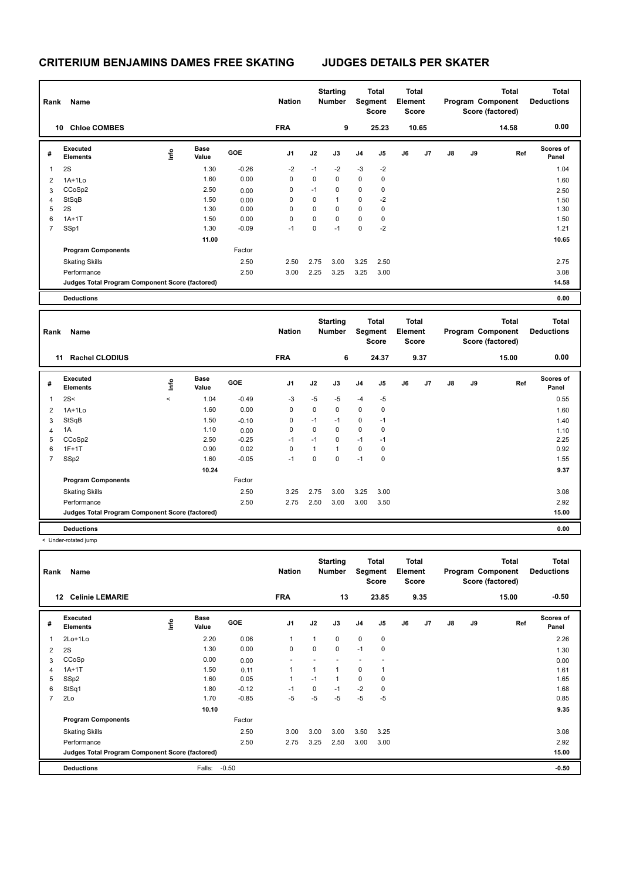| Rank           | <b>Name</b>                                     |    |                      |         | <b>Nation</b>  |      | <b>Starting</b><br><b>Number</b> |                | <b>Total</b><br>Segment<br><b>Score</b> | <b>Total</b><br>Element<br><b>Score</b> |       |               |    | <b>Total</b><br><b>Program Component</b><br>Score (factored) | <b>Total</b><br><b>Deductions</b> |  |
|----------------|-------------------------------------------------|----|----------------------|---------|----------------|------|----------------------------------|----------------|-----------------------------------------|-----------------------------------------|-------|---------------|----|--------------------------------------------------------------|-----------------------------------|--|
|                | <b>Chloe COMBES</b><br>10                       |    |                      |         | <b>FRA</b>     |      | 9                                |                | 25.23                                   |                                         | 10.65 |               |    | 14.58                                                        | 0.00                              |  |
| #              | <b>Executed</b><br><b>Elements</b>              | ۴ů | <b>Base</b><br>Value | GOE     | J <sub>1</sub> | J2   | J3                               | J <sub>4</sub> | J5                                      | J6                                      | J7    | $\mathsf{J}8$ | J9 | Ref                                                          | <b>Scores of</b><br>Panel         |  |
| $\overline{1}$ | 2S                                              |    | 1.30                 | $-0.26$ | $-2$           | $-1$ | $-2$                             | $-3$           | $-2$                                    |                                         |       |               |    |                                                              | 1.04                              |  |
| 2              | $1A+1Lo$                                        |    | 1.60                 | 0.00    | 0              | 0    | 0                                | $\mathbf 0$    | 0                                       |                                         |       |               |    |                                                              | 1.60                              |  |
| 3              | CCoSp2                                          |    | 2.50                 | 0.00    | 0              | $-1$ | 0                                | 0              | 0                                       |                                         |       |               |    |                                                              | 2.50                              |  |
| 4              | StSqB                                           |    | 1.50                 | 0.00    | $\Omega$       | 0    | $\mathbf{1}$                     | 0              | $-2$                                    |                                         |       |               |    |                                                              | 1.50                              |  |
| 5              | 2S                                              |    | 1.30                 | 0.00    | 0              | 0    | 0                                | $\mathbf 0$    | 0                                       |                                         |       |               |    |                                                              | 1.30                              |  |
| 6              | $1A+1T$                                         |    | 1.50                 | 0.00    | 0              | 0    | $\Omega$                         | $\mathbf 0$    | 0                                       |                                         |       |               |    |                                                              | 1.50                              |  |
| $\overline{7}$ | SSp1                                            |    | 1.30                 | $-0.09$ | $-1$           | 0    | $-1$                             | $\mathbf 0$    | $-2$                                    |                                         |       |               |    |                                                              | 1.21                              |  |
|                |                                                 |    | 11.00                |         |                |      |                                  |                |                                         |                                         |       |               |    |                                                              | 10.65                             |  |
|                | <b>Program Components</b>                       |    |                      | Factor  |                |      |                                  |                |                                         |                                         |       |               |    |                                                              |                                   |  |
|                | <b>Skating Skills</b>                           |    |                      | 2.50    | 2.50           | 2.75 | 3.00                             | 3.25           | 2.50                                    |                                         |       |               |    |                                                              | 2.75                              |  |
|                | Performance                                     |    |                      | 2.50    | 3.00           | 2.25 | 3.25                             | 3.25           | 3.00                                    |                                         |       |               |    |                                                              | 3.08                              |  |
|                | Judges Total Program Component Score (factored) |    |                      |         |                |      |                                  |                |                                         |                                         |       |               |    |                                                              | 14.58                             |  |
|                | <b>Deductions</b>                               |    |                      |         |                |      |                                  |                |                                         |                                         |       |               |    |                                                              | 0.00                              |  |
|                |                                                 |    |                      |         |                |      |                                  |                |                                         |                                         |       |               |    |                                                              |                                   |  |
| Rank           | Name                                            |    |                      |         | <b>Nation</b>  |      | <b>Starting</b><br><b>Number</b> |                | <b>Total</b><br>Segment<br><b>Score</b> | <b>Total</b><br>Element<br><b>Score</b> |       |               |    | <b>Total</b><br>Program Component<br>Score (factored)        | <b>Total</b><br><b>Deductions</b> |  |
|                | <b>Rachel CLODIUS</b><br>11                     |    |                      |         | <b>FRA</b>     |      | 6                                |                | 24.37                                   |                                         | 9.37  |               |    | 15.00                                                        | 0.00                              |  |

|   | 11.<br>Rachel CLODIUS                           |         |               |         | гка            |             | O    |                | 44.JI       |    | 9.97           |               |    | า จ.บบ | v.vv                      |
|---|-------------------------------------------------|---------|---------------|---------|----------------|-------------|------|----------------|-------------|----|----------------|---------------|----|--------|---------------------------|
| # | Executed<br><b>Elements</b>                     | Info    | Base<br>Value | GOE     | J <sub>1</sub> | J2          | J3   | J <sub>4</sub> | J5          | J6 | J <sub>7</sub> | $\mathsf{J}8$ | J9 | Ref    | <b>Scores of</b><br>Panel |
|   | 2S<                                             | $\prec$ | 1.04          | $-0.49$ | $-3$           | $-5$        | $-5$ | $-4$           | $-5$        |    |                |               |    |        | 0.55                      |
| 2 | $1A+1L0$                                        |         | 1.60          | 0.00    | 0              | $\mathbf 0$ | 0    | $\mathbf 0$    | $\mathbf 0$ |    |                |               |    |        | 1.60                      |
| 3 | StSqB                                           |         | 1.50          | $-0.10$ | 0              | $-1$        | $-1$ | 0              | $-1$        |    |                |               |    |        | 1.40                      |
| 4 | 1A                                              |         | 1.10          | 0.00    | 0              | $\mathbf 0$ | 0    | 0              | $\mathbf 0$ |    |                |               |    |        | 1.10                      |
| 5 | CCoSp2                                          |         | 2.50          | $-0.25$ | $-1$           | $-1$        | 0    | $-1$           | $-1$        |    |                |               |    |        | 2.25                      |
| 6 | $1F+1T$                                         |         | 0.90          | 0.02    | 0              | 1           |      | 0              | 0           |    |                |               |    |        | 0.92                      |
|   | SS <sub>p2</sub>                                |         | 1.60          | $-0.05$ | $-1$           | 0           | 0    | $-1$           | 0           |    |                |               |    |        | 1.55                      |
|   |                                                 |         | 10.24         |         |                |             |      |                |             |    |                |               |    |        | 9.37                      |
|   | <b>Program Components</b>                       |         |               | Factor  |                |             |      |                |             |    |                |               |    |        |                           |
|   | <b>Skating Skills</b>                           |         |               | 2.50    | 3.25           | 2.75        | 3.00 | 3.25           | 3.00        |    |                |               |    |        | 3.08                      |
|   | Performance                                     |         |               | 2.50    | 2.75           | 2.50        | 3.00 | 3.00           | 3.50        |    |                |               |    |        | 2.92                      |
|   | Judges Total Program Component Score (factored) |         |               |         |                |             |      |                |             |    |                |               |    |        | 15.00                     |
|   | <b>Deductions</b>                               |         |               |         |                |             |      |                |             |    |                |               |    |        | 0.00                      |

H < Under-rotated jump

| Rank           | Name                                            |    |                      |         | <b>Nation</b>  |          | <b>Starting</b><br>Number | Segment        | <b>Total</b><br><b>Score</b> | <b>Total</b><br>Element<br><b>Score</b> |                |               |    | <b>Total</b><br>Program Component<br>Score (factored) | <b>Total</b><br><b>Deductions</b> |
|----------------|-------------------------------------------------|----|----------------------|---------|----------------|----------|---------------------------|----------------|------------------------------|-----------------------------------------|----------------|---------------|----|-------------------------------------------------------|-----------------------------------|
|                | <b>Celinie LEMARIE</b><br>$12 \,$               |    |                      |         | <b>FRA</b>     |          | 13                        |                | 23.85                        |                                         | 9.35           |               |    | 15.00                                                 | $-0.50$                           |
| #              | Executed<br><b>Elements</b>                     | ١m | <b>Base</b><br>Value | GOE     | J <sub>1</sub> | J2       | J3                        | J <sub>4</sub> | J <sub>5</sub>               | J6                                      | J <sub>7</sub> | $\mathsf{J}8$ | J9 | Ref                                                   | Scores of<br>Panel                |
| 1              | 2Lo+1Lo                                         |    | 2.20                 | 0.06    | 1              |          | 0                         | $\mathbf 0$    | 0                            |                                         |                |               |    |                                                       | 2.26                              |
| 2              | 2S                                              |    | 1.30                 | 0.00    | $\mathbf 0$    | 0        | 0                         | $-1$           | 0                            |                                         |                |               |    |                                                       | 1.30                              |
| 3              | CCoSp                                           |    | 0.00                 | 0.00    |                |          |                           |                |                              |                                         |                |               |    |                                                       | 0.00                              |
| 4              | $1A+1T$                                         |    | 1.50                 | 0.11    | 1              |          | 1                         | $\mathbf 0$    | 1                            |                                         |                |               |    |                                                       | 1.61                              |
| 5              | SSp2                                            |    | 1.60                 | 0.05    | $\mathbf{1}$   | $-1$     | 1                         | $\mathbf 0$    | 0                            |                                         |                |               |    |                                                       | 1.65                              |
| 6              | StSq1                                           |    | 1.80                 | $-0.12$ | $-1$           | $\Omega$ | $-1$                      | $-2$           | 0                            |                                         |                |               |    |                                                       | 1.68                              |
| $\overline{7}$ | 2Lo                                             |    | 1.70                 | $-0.85$ | -5             | $-5$     | -5                        | $-5$           | $-5$                         |                                         |                |               |    |                                                       | 0.85                              |
|                |                                                 |    | 10.10                |         |                |          |                           |                |                              |                                         |                |               |    |                                                       | 9.35                              |
|                | <b>Program Components</b>                       |    |                      | Factor  |                |          |                           |                |                              |                                         |                |               |    |                                                       |                                   |
|                | <b>Skating Skills</b>                           |    |                      | 2.50    | 3.00           | 3.00     | 3.00                      | 3.50           | 3.25                         |                                         |                |               |    |                                                       | 3.08                              |
|                | Performance                                     |    |                      | 2.50    | 2.75           | 3.25     | 2.50                      | 3.00           | 3.00                         |                                         |                |               |    |                                                       | 2.92                              |
|                | Judges Total Program Component Score (factored) |    |                      |         |                |          |                           |                |                              |                                         |                |               |    |                                                       | 15.00                             |
|                | <b>Deductions</b>                               |    | Falls:               | $-0.50$ |                |          |                           |                |                              |                                         |                |               |    |                                                       | $-0.50$                           |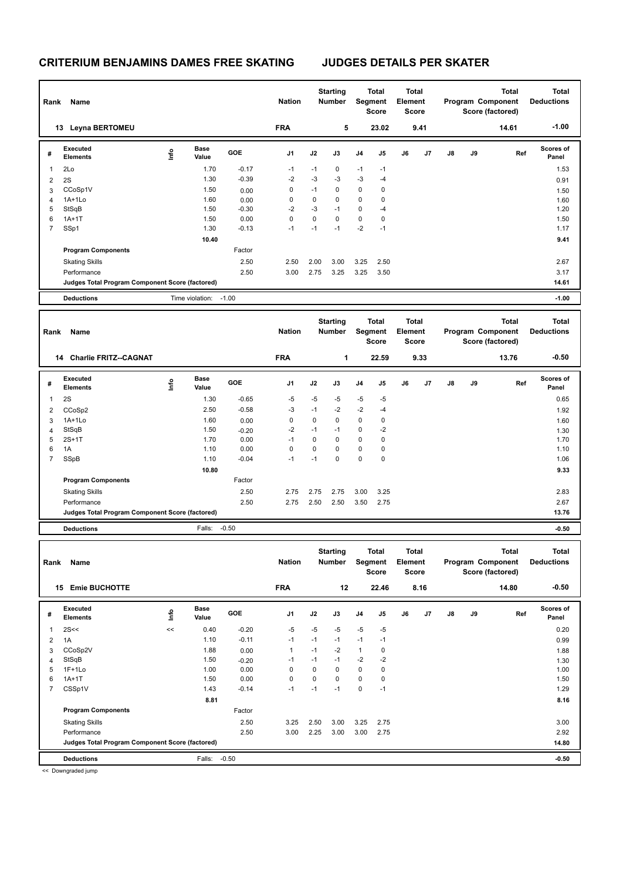| Rank                | Name                                            |      |                 |                 | <b>Nation</b> |                     | <b>Starting</b><br><b>Number</b> |                        | <b>Total</b><br>Segment<br>Score | Element | Total<br><b>Score</b> |    |    | <b>Total</b><br>Program Component<br>Score (factored) | <b>Total</b><br><b>Deductions</b> |
|---------------------|-------------------------------------------------|------|-----------------|-----------------|---------------|---------------------|----------------------------------|------------------------|----------------------------------|---------|-----------------------|----|----|-------------------------------------------------------|-----------------------------------|
|                     | 13 Leyna BERTOMEU                               |      |                 |                 | <b>FRA</b>    |                     | 5                                |                        | 23.02                            |         | 9.41                  |    |    | 14.61                                                 | $-1.00$                           |
| #                   | <b>Executed</b><br><b>Elements</b>              | Life | Base<br>Value   | GOE             | J1            | J2                  | J3                               | J <sub>4</sub>         | J5                               | J6      | J7                    | J8 | J9 | Ref                                                   | <b>Scores of</b><br>Panel         |
| $\mathbf{1}$        | 2Lo                                             |      | 1.70            | $-0.17$         | $-1$          | $-1$                | 0                                | $-1$                   | $-1$                             |         |                       |    |    |                                                       | 1.53                              |
| $\overline{2}$      | 2S                                              |      | 1.30            | $-0.39$         | $-2$          | $-3$                | $-3$                             | $-3$                   | -4                               |         |                       |    |    |                                                       | 0.91                              |
| 3                   | CCoSp1V                                         |      | 1.50            | 0.00            | 0             | $-1$                | 0                                | $\pmb{0}$              | $\mathbf 0$                      |         |                       |    |    |                                                       | 1.50                              |
| 4                   | 1A+1Lo                                          |      | 1.60            | 0.00            | 0             | 0                   | 0                                | $\pmb{0}$              | 0                                |         |                       |    |    |                                                       | 1.60                              |
| 5<br>6              | StSqB<br>$1A+1T$                                |      | 1.50<br>1.50    | $-0.30$<br>0.00 | $-2$<br>0     | $-3$<br>$\mathbf 0$ | $-1$<br>$\mathbf 0$              | $\pmb{0}$<br>$\pmb{0}$ | $-4$<br>$\mathbf 0$              |         |                       |    |    |                                                       | 1.20<br>1.50                      |
| 7                   | SSp1                                            |      | 1.30            | $-0.13$         | $-1$          | $-1$                | $-1$                             | $-2$                   | $-1$                             |         |                       |    |    |                                                       | 1.17                              |
|                     |                                                 |      | 10.40           |                 |               |                     |                                  |                        |                                  |         |                       |    |    |                                                       | 9.41                              |
|                     | <b>Program Components</b>                       |      |                 | Factor          |               |                     |                                  |                        |                                  |         |                       |    |    |                                                       |                                   |
|                     | <b>Skating Skills</b>                           |      |                 | 2.50            | 2.50          | 2.00                | 3.00                             | 3.25                   | 2.50                             |         |                       |    |    |                                                       | 2.67                              |
|                     | Performance                                     |      |                 | 2.50            | 3.00          | 2.75                | 3.25                             | 3.25                   | 3.50                             |         |                       |    |    |                                                       | 3.17                              |
|                     | Judges Total Program Component Score (factored) |      |                 |                 |               |                     |                                  |                        |                                  |         |                       |    |    |                                                       | 14.61                             |
|                     | <b>Deductions</b>                               |      | Time violation: | $-1.00$         |               |                     |                                  |                        |                                  |         |                       |    |    |                                                       | $-1.00$                           |
|                     |                                                 |      |                 |                 |               |                     |                                  |                        |                                  |         |                       |    |    |                                                       |                                   |
|                     |                                                 |      |                 |                 |               |                     | <b>Starting</b>                  |                        | Total                            |         | Total                 |    |    | <b>Total</b>                                          | <b>Total</b>                      |
| Rank                | Name                                            |      |                 |                 | <b>Nation</b> |                     | <b>Number</b>                    |                        | Segment<br><b>Score</b>          | Element | <b>Score</b>          |    |    | Program Component<br>Score (factored)                 | <b>Deductions</b>                 |
|                     |                                                 |      |                 |                 |               |                     |                                  |                        |                                  |         |                       |    |    |                                                       |                                   |
|                     | <b>Charlie FRITZ--CAGNAT</b><br>14              |      |                 |                 | <b>FRA</b>    |                     | 1                                |                        | 22.59                            |         | 9.33                  |    |    | 13.76                                                 | $-0.50$                           |
| #                   | <b>Executed</b><br><b>Elements</b>              | lnfo | Base<br>Value   | GOE             | J1            | J2                  | J3                               | J4                     | J5                               | J6      | J7                    | J8 | J9 | Ref                                                   | <b>Scores of</b><br>Panel         |
| $\mathbf{1}$        | 2S                                              |      | 1.30            | $-0.65$         | $-5$          | -5                  | -5                               | -5                     | -5                               |         |                       |    |    |                                                       | 0.65                              |
| 2                   | CCoSp2                                          |      | 2.50            | $-0.58$         | $-3$          | $-1$                | $-2$                             | $-2$                   | $-4$                             |         |                       |    |    |                                                       | 1.92                              |
| 3                   | $1A+1Lo$                                        |      | 1.60            | 0.00            | 0             | $\mathbf 0$         | 0                                | $\pmb{0}$              | $\mathbf 0$                      |         |                       |    |    |                                                       | 1.60                              |
| 4                   | StSqB                                           |      | 1.50            | $-0.20$         | $-2$          | $-1$                | $-1$                             | $\pmb{0}$              | $-2$                             |         |                       |    |    |                                                       | 1.30                              |
| 5                   | $2S+1T$                                         |      | 1.70            | 0.00            | $-1$          | $\mathbf 0$         | 0                                | $\pmb{0}$              | $\mathbf 0$                      |         |                       |    |    |                                                       | 1.70                              |
| 6<br>$\overline{7}$ | 1A                                              |      | 1.10            | 0.00            | 0<br>$-1$     | $\mathbf 0$<br>$-1$ | 0<br>0                           | 0<br>0                 | $\mathbf 0$<br>$\mathbf 0$       |         |                       |    |    |                                                       | 1.10                              |
|                     | SSpB                                            |      | 1.10<br>10.80   | $-0.04$         |               |                     |                                  |                        |                                  |         |                       |    |    |                                                       | 1.06<br>9.33                      |
|                     | <b>Program Components</b>                       |      |                 | Factor          |               |                     |                                  |                        |                                  |         |                       |    |    |                                                       |                                   |
|                     | <b>Skating Skills</b>                           |      |                 | 2.50            | 2.75          | 2.75                | 2.75                             | 3.00                   | 3.25                             |         |                       |    |    |                                                       | 2.83                              |
|                     | Performance                                     |      |                 | 2.50            | 2.75          | 2.50                | 2.50                             | 3.50                   | 2.75                             |         |                       |    |    |                                                       | 2.67                              |
|                     | Judges Total Program Component Score (factored) |      |                 |                 |               |                     |                                  |                        |                                  |         |                       |    |    |                                                       | 13.76                             |
|                     | <b>Deductions</b>                               |      | Falls:          | $-0.50$         |               |                     |                                  |                        |                                  |         |                       |    |    |                                                       | $-0.50$                           |
|                     |                                                 |      |                 |                 |               |                     |                                  |                        |                                  |         |                       |    |    |                                                       |                                   |
| Rank                | Name                                            |      |                 |                 | <b>Nation</b> |                     | <b>Starting</b><br>Number        |                        | Total<br>Segment<br>Score        | Element | Total<br>Score        |    |    | Total<br>Program Component<br>Score (factored)        | Total<br><b>Deductions</b>        |
|                     | 15 Emie BUCHOTTE                                |      |                 |                 | <b>FRA</b>    |                     | 12                               |                        | 22.46                            |         | 8.16                  |    |    | 14.80                                                 | $-0.50$                           |
|                     | <b>Executed</b>                                 |      | Base            |                 |               |                     |                                  |                        |                                  |         |                       |    |    |                                                       | Scores of                         |
| #                   | <b>Elements</b>                                 | lnfo | Value           | GOE             | J1            | J2                  | J3                               | J4                     | J5                               | J6      | J7                    | J8 | J9 | Ref                                                   | Panel                             |
| $\mathbf{1}$        | 2S<<                                            | <<   | 0.40            | $-0.20$         | $-5$          | $-5$                | -5                               | $-5$                   | $-5$                             |         |                       |    |    |                                                       | 0.20                              |
| 2                   | 1A                                              |      | 1.10            | $-0.11$         | $-1$          | $-1$                | $-1$                             | $-1$                   | $-1$                             |         |                       |    |    |                                                       | 0.99                              |
| 3                   | CCoSp2V                                         |      | 1.88            | 0.00            | $\mathbf{1}$  | $-1$                | -2                               | $\mathbf{1}$           | 0                                |         |                       |    |    |                                                       | 1.88                              |
| 4<br>5              | StSqB<br>$1F+1Lo$                               |      | 1.50<br>1.00    | $-0.20$<br>0.00 | $-1$<br>0     | $-1$<br>0           | $-1$<br>0                        | $-2$<br>$\mathbf 0$    | $-2$<br>$\mathbf 0$              |         |                       |    |    |                                                       | 1.30                              |
| 6                   | $1A+1T$                                         |      | 1.50            | 0.00            | 0             | 0                   | 0                                | $\pmb{0}$              | $\mathbf 0$                      |         |                       |    |    |                                                       | 1.00<br>1.50                      |
| $\overline{7}$      | CSSp1V                                          |      | 1.43            | $-0.14$         | $-1$          | $-1$                | $-1$                             | $\pmb{0}$              | $-1$                             |         |                       |    |    |                                                       | 1.29                              |
|                     |                                                 |      | 8.81            |                 |               |                     |                                  |                        |                                  |         |                       |    |    |                                                       | 8.16                              |
|                     | <b>Program Components</b>                       |      |                 | Factor          |               |                     |                                  |                        |                                  |         |                       |    |    |                                                       |                                   |
|                     | <b>Skating Skills</b>                           |      |                 | 2.50            | 3.25          | 2.50                | 3.00                             | 3.25                   | 2.75                             |         |                       |    |    |                                                       | 3.00                              |
|                     | Performance                                     |      |                 | 2.50            | 3.00          | 2.25                | 3.00                             | 3.00                   | 2.75                             |         |                       |    |    |                                                       | 2.92                              |
|                     | Judges Total Program Component Score (factored) |      |                 |                 |               |                     |                                  |                        |                                  |         |                       |    |    |                                                       | 14.80                             |
|                     | <b>Deductions</b>                               |      | Falls: -0.50    |                 |               |                     |                                  |                        |                                  |         |                       |    |    |                                                       | $-0.50$                           |

<< Downgraded jump